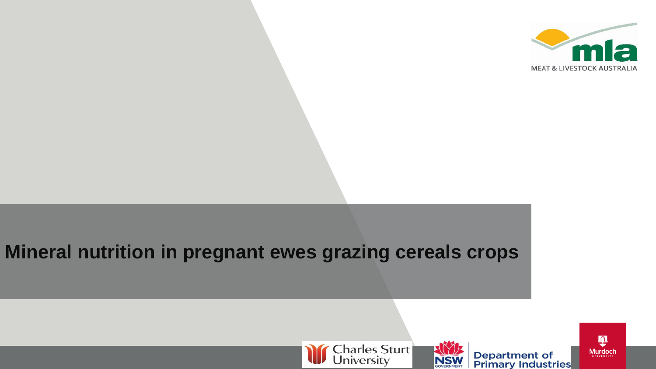

## **Mineral nutrition in pregnant ewes grazing cereals crops**







 $\mathbf{Q}$ **Murdoch UNIVERSIT**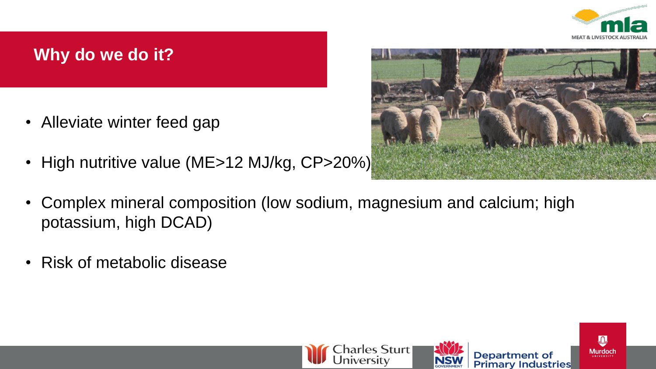

### **Why do we do it?**

- Alleviate winter feed gap
- High nutritive value (ME>12 MJ/kg, CP>20%)
- Complex mineral composition (low sodium, magnesium and calcium; high potassium, high DCAD)
- Risk of metabolic disease









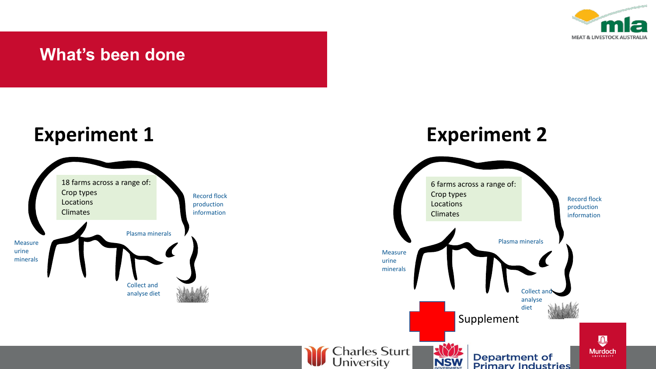

### **What's been done**

# **Experiment 1**



# **Experiment 2**

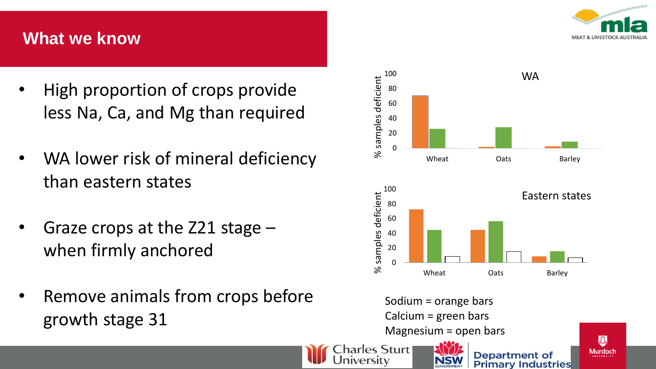### **What we know**

- High proportion of crops provide less Na, Ca, and Mg than required
- WA lower risk of mineral deficiency than eastern states
- Graze crops at the Z21 stage when firmly anchored
- Remove animals from crops before growth stage 31



Sodium = orange bars Calcium = green bars Magnesium = open bars





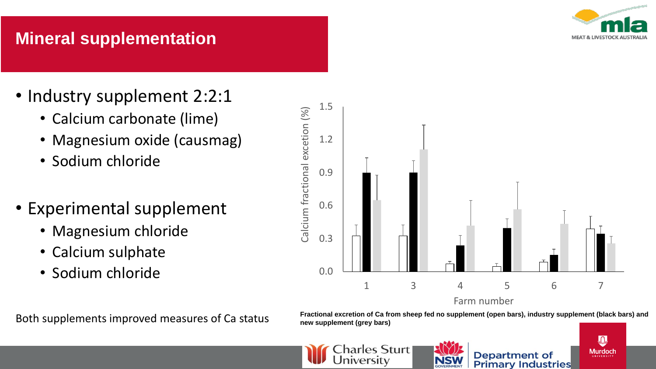

### **Mineral supplementation**

- Industry supplement 2:2:1
	- Calcium carbonate (lime)
	- Magnesium oxide (causmag)
	- Sodium chloride
- Experimental supplement
	- Magnesium chloride
	- Calcium sulphate
	- Sodium chloride 0.0



Both supplements improved measures of Ca status **Fractional excretion of Ca from sheep fed no supplement (open bars)**, industry supplement (black bars) and **new supplement (grey bars)** 





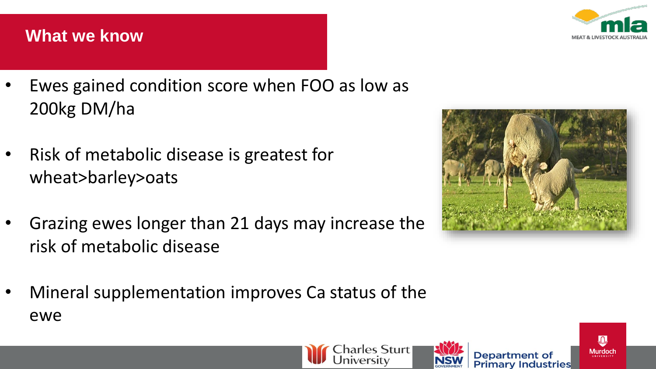

### **What we know**

- Ewes gained condition score when FOO as low as 200kg DM/ha
- Risk of metabolic disease is greatest for wheat>barley>oats
- Grazing ewes longer than 21 days may increase the risk of metabolic disease
- Mineral supplementation improves Ca status of the ewe









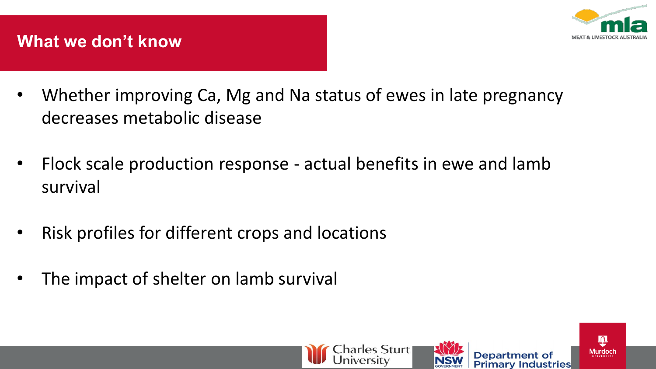

- **What we don't know**
- Whether improving Ca, Mg and Na status of ewes in late pregnancy decreases metabolic disease
- Flock scale production response actual benefits in ewe and lamb survival
- Risk profiles for different crops and locations
- The impact of shelter on lamb survival